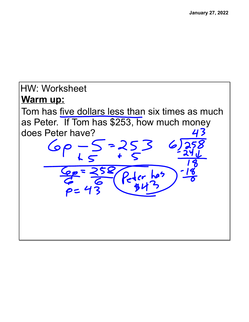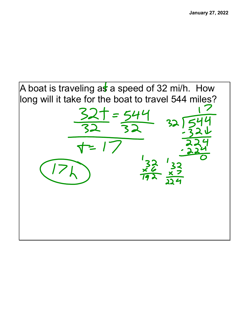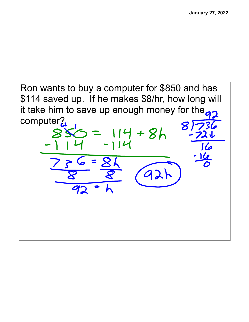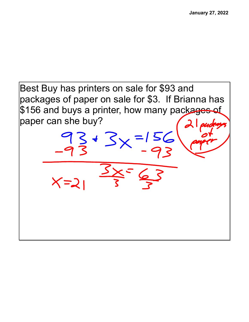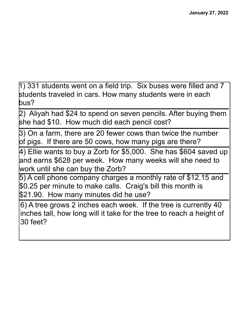1) 331 students went on a field trip. Six buses were filled and 7 students traveled in cars. How many students were in each bus?

2) Aliyah had \$24 to spend on seven pencils. After buying them she had \$10. How much did each pencil cost?

3) On a farm, there are 20 fewer cows than twice the number of pigs. If there are 50 cows, how many pigs are there?

4) Ellie wants to buy a Zorb for \$5,000. She has \$604 saved up and earns \$628 per week. How many weeks will she need to work until she can buy the Zorb?

5) A cell phone company charges a monthly rate of \$12.15 and \$0.25 per minute to make calls. Craig's bill this month is \$21.90. How many minutes did he use?

6) A tree grows 2 inches each week. If the tree is currently 40 inches tall, how long will it take for the tree to reach a height of 30 feet?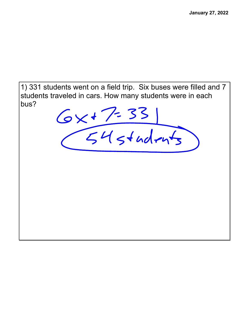1) 331 students went on a field trip. Six buses were filled and 7 students traveled in cars. How many students were in each bus?

 $6x + 7 = 33$